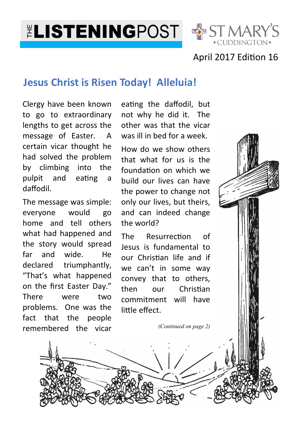**ELISTENINGPOST & ST MARY'S** 



### April 2017 Edition 16

### **Jesus Christ is Risen Today! Alleluia!**

Clergy have been known to go to extraordinary lengths to get across the message of Easter. A certain vicar thought he had solved the problem by climbing into the pulpit and eating a daffodil.

The message was simple: everyone would go home and tell others what had happened and the story would spread far and wide. He declared triumphantly, "That's what happened on the first Easter Day." There were two problems. One was the fact that the people remembered the vicar

eating the daffodil, but not why he did it. The other was that the vicar was ill in bed for a week.

How do we show others that what for us is the foundation on which we build our lives can have the power to change not only our lives, but theirs, and can indeed change the world?

The Resurrection of Jesus is fundamental to our Chris
an life and if we can't in some way convey that to others, then our Christian commitment will have little effect.

*(Continued on page 2)*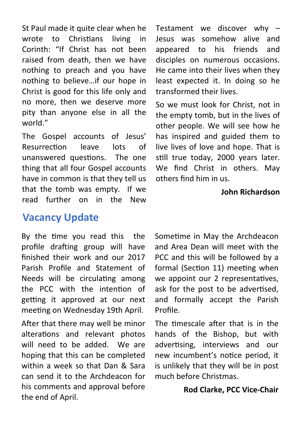St Paul made it quite clear when he wrote to Christians living in Corinth: "If Christ has not been raised from death, then we have nothing to preach and you have nothing to believe…if our hope in Christ is good for this life only and no more, then we deserve more pity than anyone else in all the world."

The Gospel accounts of Jesus' Resurrection leave lots of unanswered questions. The one thing that all four Gospel accounts have in common is that they tell us that the tomb was empty. If we read further on in the New

## **Vacancy Update**

By the time you read this the profile drafting group will have finished their work and our 2017 Parish Profile and Statement of Needs will be circulating among the PCC with the intention of getting it approved at our next meeting on Wednesday 19th April.

After that there may well be minor alterations and relevant photos will need to be added. We are hoping that this can be completed within a week so that Dan & Sara can send it to the Archdeacon for his comments and approval before the end of April.

Testament we discover why – Jesus was somehow alive and appeared to his friends and disciples on numerous occasions. He came into their lives when they least expected it. In doing so he transformed their lives.

So we must look for Christ, not in the empty tomb, but in the lives of other people. We will see how he has inspired and guided them to live lives of love and hope. That is still true today, 2000 years later. We find Christ in others. May others find him in us.

#### **John Richardson**

Sometime in May the Archdeacon and Area Dean will meet with the PCC and this will be followed by a formal (Section 11) meeting when we appoint our 2 representatives. ask for the post to be advertised, and formally accept the Parish Profile.

The timescale after that is in the hands of the Bishop, but with advertising, interviews and our new incumbent's notice period, it is unlikely that they will be in post much before Christmas.

#### **Rod Clarke, PCC Vice-Chair**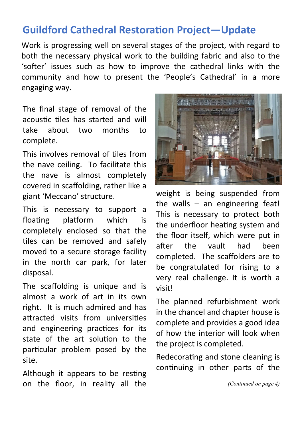# **Guildford Cathedral Restoration Project-Update**

Work is progressing well on several stages of the project, with regard to both the necessary physical work to the building fabric and also to the 'softer' issues such as how to improve the cathedral links with the community and how to present the 'People's Cathedral' in a more engaging way.

The final stage of removal of the acoustic tiles has started and will take about two months to complete.

This involves removal of tiles from the nave ceiling. To facilitate this the nave is almost completely covered in scaffolding, rather like a giant 'Meccano' structure.

This is necessary to support a floating platform which is completely enclosed so that the tiles can be removed and safely moved to a secure storage facility in the north car park, for later disposal.

The scaffolding is unique and is almost a work of art in its own right. It is much admired and has attracted visits from universities and engineering practices for its state of the art solution to the particular problem posed by the site.

Although it appears to be resting on the floor, in reality all the



weight is being suspended from the walls – an engineering feat! This is necessary to protect both the underfloor heating system and the floor itself, which were put in after the vault had been completed. The scaffolders are to be congratulated for rising to a very real challenge. It is worth a visit!

The planned refurbishment work in the chancel and chapter house is complete and provides a good idea of how the interior will look when the project is completed.

Redecorating and stone cleaning is continuing in other parts of the

*(Continued on page 4)*